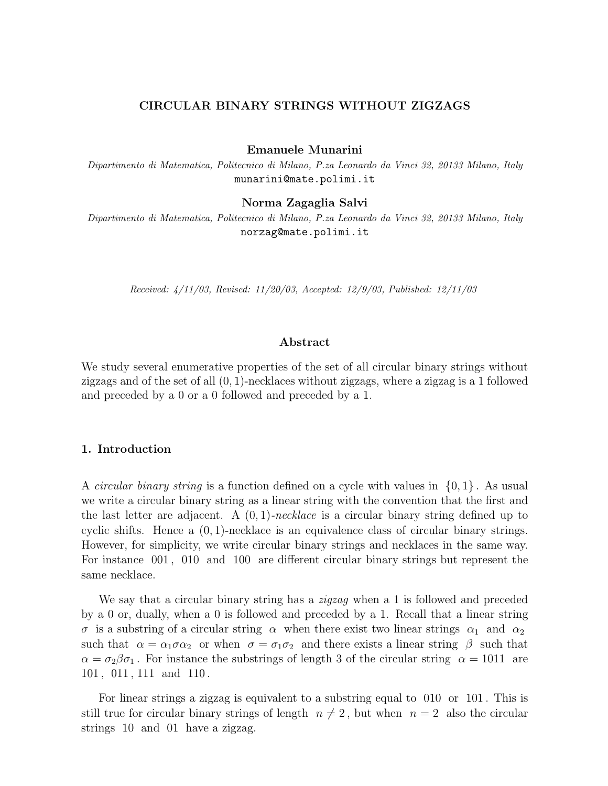## **CIRCULAR BINARY STRINGS WITHOUT ZIGZAGS**

**Emanuele Munarini**

Dipartimento di Matematica, Politecnico di Milano, P.za Leonardo da Vinci 32, 20133 Milano, Italy munarini@mate.polimi.it

**Norma Zagaglia Salvi**

Dipartimento di Matematica, Politecnico di Milano, P.za Leonardo da Vinci 32, 20133 Milano, Italy norzag@mate.polimi.it

Received: 4/11/03, Revised: 11/20/03, Accepted: 12/9/03, Published: 12/11/03

#### **Abstract**

We study several enumerative properties of the set of all circular binary strings without zigzags and of the set of all  $(0, 1)$ -necklaces without zigzags, where a zigzag is a 1 followed and preceded by a 0 or a 0 followed and preceded by a 1.

## **1. Introduction**

A *circular binary string* is a function defined on a cycle with values in  $\{0, 1\}$ . As usual we write a circular binary string as a linear string with the convention that the first and the last letter are adjacent. A  $(0, 1)$ -necklace is a circular binary string defined up to cyclic shifts. Hence a  $(0, 1)$ -necklace is an equivalence class of circular binary strings. However, for simplicity, we write circular binary strings and necklaces in the same way. For instance 001 , 010 and 100 are different circular binary strings but represent the same necklace.

We say that a circular binary string has a  $zigzag$  when a 1 is followed and preceded by a 0 or, dually, when a 0 is followed and preceded by a 1. Recall that a linear string σ is a substring of a circular string  $\alpha$  when there exist two linear strings  $\alpha_1$  and  $\alpha_2$ such that  $\alpha = \alpha_1 \sigma \alpha_2$  or when  $\sigma = \sigma_1 \sigma_2$  and there exists a linear string  $\beta$  such that  $\alpha = \sigma_2 \beta \sigma_1$ . For instance the substrings of length 3 of the circular string  $\alpha = 1011$  are 101 , 011 , 111 and 110 .

For linear strings a zigzag is equivalent to a substring equal to 010 or 101 . This is still true for circular binary strings of length  $n \neq 2$ , but when  $n = 2$  also the circular strings 10 and 01 have a zigzag.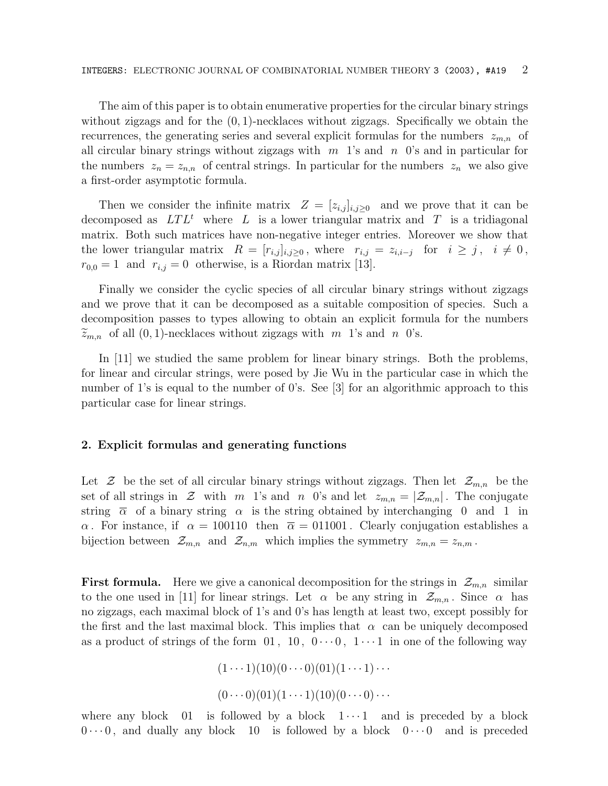The aim of this paper is to obtain enumerative properties for the circular binary strings without zigzags and for the  $(0, 1)$ -necklaces without zigzags. Specifically we obtain the recurrences, the generating series and several explicit formulas for the numbers  $z_{m,n}$  of all circular binary strings without zigzags with  $m<sup>1</sup>$ 's and  $n<sup>0</sup>$ 's and in particular for the numbers  $z_n = z_{n,n}$  of central strings. In particular for the numbers  $z_n$  we also give a first-order asymptotic formula.

Then we consider the infinite matrix  $Z = [z_{i,j}]_{i,j\geq 0}$  and we prove that it can be decomposed as  $LTL<sup>t</sup>$  where L is a lower triangular matrix and T is a tridiagonal matrix. Both such matrices have non-negative integer entries. Moreover we show that the lower triangular matrix  $R = [r_{i,j}]_{i,j \geq 0}$ , where  $r_{i,j} = z_{i,i-j}$  for  $i \geq j$ ,  $i \neq 0$ ,  $r_{0,0} = 1$  and  $r_{i,j} = 0$  otherwise, is a Riordan matrix [13].

Finally we consider the cyclic species of all circular binary strings without zigzags and we prove that it can be decomposed as a suitable composition of species. Such a decomposition passes to types allowing to obtain an explicit formula for the numbers  $\widetilde{z}_{m,n}$  of all  $(0, 1)$ -necklaces without zigzags with m 1's and n 0's.

In [11] we studied the same problem for linear binary strings. Both the problems, for linear and circular strings, were posed by Jie Wu in the particular case in which the number of 1's is equal to the number of 0's. See [3] for an algorithmic approach to this particular case for linear strings.

## **2. Explicit formulas and generating functions**

Let  $\mathcal Z$  be the set of all circular binary strings without zigzags. Then let  $\mathcal Z_{m,n}$  be the set of all strings in  $\mathcal Z$  with m 1's and n 0's and let  $z_{m,n} = |\mathcal Z_{m,n}|$ . The conjugate string  $\bar{\alpha}$  of a binary string  $\alpha$  is the string obtained by interchanging 0 and 1 in α. For instance, if  $\alpha = 100110$  then  $\overline{\alpha} = 011001$ . Clearly conjugation establishes a bijection between  $\mathcal{Z}_{m,n}$  and  $\mathcal{Z}_{n,m}$  which implies the symmetry  $z_{m,n} = z_{n,m}$ .

**First formula.** Here we give a canonical decomposition for the strings in  $\mathcal{Z}_{m,n}$  similar to the one used in [11] for linear strings. Let  $\alpha$  be any string in  $\mathcal{Z}_{m,n}$ . Since  $\alpha$  has no zigzags, each maximal block of 1's and 0's has length at least two, except possibly for the first and the last maximal block. This implies that  $\alpha$  can be uniquely decomposed as a product of strings of the form 01, 10,  $0 \cdots 0$ ,  $1 \cdots 1$  in one of the following way

$$
(1 \cdots 1)(10)(0 \cdots 0)(01)(1 \cdots 1) \cdots
$$

$$
(0 \cdots 0)(01)(1 \cdots 1)(10)(0 \cdots 0) \cdots
$$

where any block 01 is followed by a block  $1 \cdots 1$  and is preceded by a block  $0 \cdots 0$ , and dually any block 10 is followed by a block  $0 \cdots 0$  and is preceded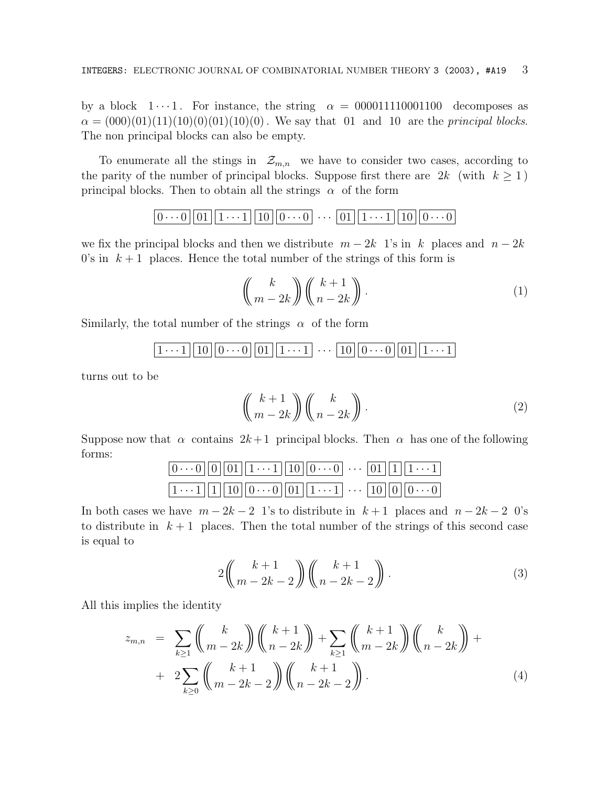by a block  $1 \cdots 1$ . For instance, the string  $\alpha = 000011110001100$  decomposes as  $\alpha = (000)(01)(11)(10)(0)(01)(10)(0)$ . We say that 01 and 10 are the *principal blocks*. The non principal blocks can also be empty.

To enumerate all the stings in  $\mathcal{Z}_{m,n}$  we have to consider two cases, according to the parity of the number of principal blocks. Suppose first there are  $2k$  (with  $k \ge 1$ ) principal blocks. Then to obtain all the strings  $\alpha$  of the form

$$
\boxed{0\cdots 0}\boxed{01}\boxed{1\cdots 1}\boxed{10}\boxed{0\cdots 0}\ \cdots \ \boxed{01}\boxed{1\cdots 1}\boxed{10}\boxed{0\cdots 0}
$$

we fix the principal blocks and then we distribute  $m - 2k$  1's in k places and  $n - 2k$ 0's in  $k+1$  places. Hence the total number of the strings of this form is

$$
\binom{k}{m-2k} \binom{k+1}{n-2k}.
$$
\n(1)

Similarly, the total number of the strings  $\alpha$  of the form

$$
\boxed{1\cdots1}\boxed{10}\boxed{0\cdots0}\boxed{01}\boxed{1\cdots1}\cdots \boxed{10}\boxed{0\cdots0}\boxed{01}\boxed{1\cdots1}
$$

turns out to be

$$
\left(\!\!\begin{array}{c}k+1\\m-2k\end{array}\!\!\right)\!\left(\!\!\begin{array}{c}k\\n-2k\end{array}\!\!\right).
$$
\n(2)

Suppose now that  $\alpha$  contains  $2k+1$  principal blocks. Then  $\alpha$  has one of the following forms:

$$
\underbrace{|0\cdots0|}\underbrace{|0|}\underbrace{|01|}\underbrace{|1\cdots1|}\underbrace{|10|}\underbrace{|0\cdots0|}\cdots\underbrace{|01|}\underbrace{|1|}\underbrace{|1\cdots1|}
$$
  

$$
\underbrace{|1\cdots1|}\underbrace{|1|}\underbrace{|10|}\underbrace{|0\cdots0|}\underbrace{|01|}\underbrace{|1\cdots1|}\cdots\underbrace{|10|}\underbrace{|0|}\underbrace{|0\cdots0|}
$$

In both cases we have  $m - 2k - 2$  1's to distribute in  $k + 1$  places and  $n - 2k - 2$  0's to distribute in  $k+1$  places. Then the total number of the strings of this second case is equal to

$$
2\left(\binom{k+1}{m-2k-2}\right)\left(\binom{k+1}{n-2k-2}\right). \tag{3}
$$

All this implies the identity

$$
z_{m,n} = \sum_{k\geq 1} {k \choose m-2k} {k+1 \choose n-2k} + \sum_{k\geq 1} {k+1 \choose m-2k} {k \choose n-2k} + 2 \sum_{k\geq 0} {k+1 \choose m-2k-2} {k+1 \choose n-2k-2}.
$$
 (4)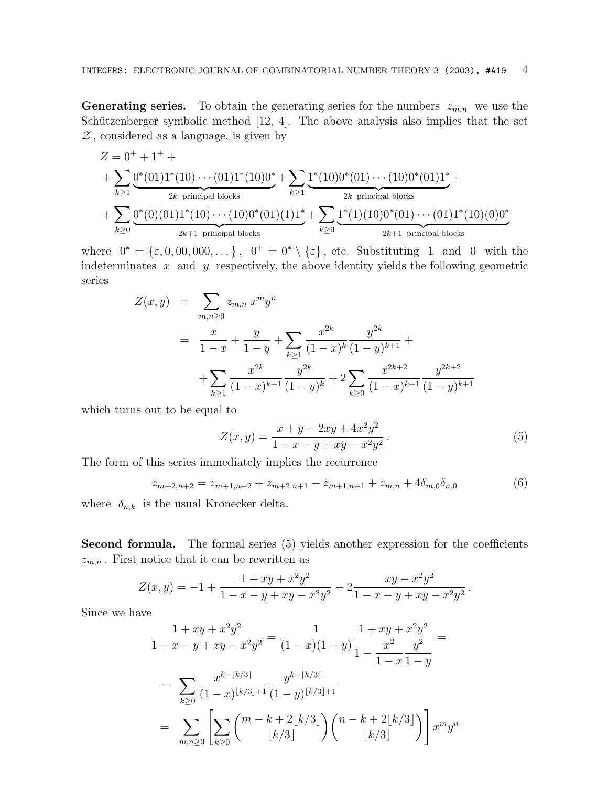**Generating series.** To obtain the generating series for the numbers  $z_{m,n}$  we use the Schützenberger symbolic method  $[12, 4]$ . The above analysis also implies that the set  $\mathcal Z$ , considered as a language, is given by

$$
Z = 0^+ + 1^+ + \sum_{k \ge 1} \underbrace{0^*(01)1^*(10) \cdots (01)1^*(10)0^*}_{2k \text{ principal blocks}} + \sum_{k \ge 1} \underbrace{1^*(10)0^*(01) \cdots (10)0^*(01)1^*}_{2k \text{ principal blocks}} + \sum_{k \ge 0} \underbrace{0^*(0)(01)1^*(10) \cdots (10)0^*(01)(1)1^*}_{2k+1 \text{ principal blocks}} + \sum_{k \ge 0} \underbrace{1^*(1)(10)0^*(01) \cdots (01)1^*(10)(0)0^*}_{2k+1 \text{ principal blocks}}
$$

where  $0^* = {\varepsilon, 0, 00, 000, \dots}$ ,  $0^+ = 0^* \setminus {\varepsilon}$ , etc. Substituting 1 and 0 with the indeterminates  $x$  and  $y$  respectively, the above identity yields the following geometric series

$$
Z(x,y) = \sum_{m,n\geq 0} z_{m,n} x^m y^n
$$
  
= 
$$
\frac{x}{1-x} + \frac{y}{1-y} + \sum_{k\geq 1} \frac{x^{2k}}{(1-x)^k} \frac{y^{2k}}{(1-y)^{k+1}} +
$$
  
+ 
$$
\sum_{k\geq 1} \frac{x^{2k}}{(1-x)^{k+1}} \frac{y^{2k}}{(1-y)^k} + 2 \sum_{k\geq 0} \frac{x^{2k+2}}{(1-x)^{k+1}} \frac{y^{2k+2}}{(1-y)^{k+1}}
$$

which turns out to be equal to

$$
Z(x,y) = \frac{x+y-2xy+4x^2y^2}{1-x-y+xy-x^2y^2}.
$$
\n(5)

The form of this series immediately implies the recurrence

$$
z_{m+2,n+2} = z_{m+1,n+2} + z_{m+2,n+1} - z_{m+1,n+1} + z_{m,n} + 4\delta_{m,0}\delta_{n,0}
$$
(6)

where  $\delta_{n,k}$  is the usual Kronecker delta.

**Second formula.** The formal series (5) yields another expression for the coefficients  $z_{m,n}$ . First notice that it can be rewritten as

$$
Z(x,y) = -1 + \frac{1+xy+x^2y^2}{1-x-y+xy-x^2y^2} - 2\frac{xy-x^2y^2}{1-x-y+xy-x^2y^2}.
$$

Since we have

$$
\frac{1+xy+x^2y^2}{1-x-y+xy-x^2y^2} = \frac{1}{(1-x)(1-y)} \frac{1+xy+x^2y^2}{1-\frac{x^2}{1-x}} =
$$
\n
$$
= \sum_{k\geq 0} \frac{x^{k-[k/3]}}{(1-x)^{\lfloor k/3 \rfloor+1}} \frac{y^{k-[k/3]}}{(1-y)^{\lfloor k/3 \rfloor+1}}
$$
\n
$$
= \sum_{m,n\geq 0} \left[ \sum_{k\geq 0} {m-k+2\lfloor k/3 \rfloor \choose \lfloor k/3 \rfloor} {n-k+2\lfloor k/3 \rfloor \choose \lfloor k/3 \rfloor} \right] x^m y^n
$$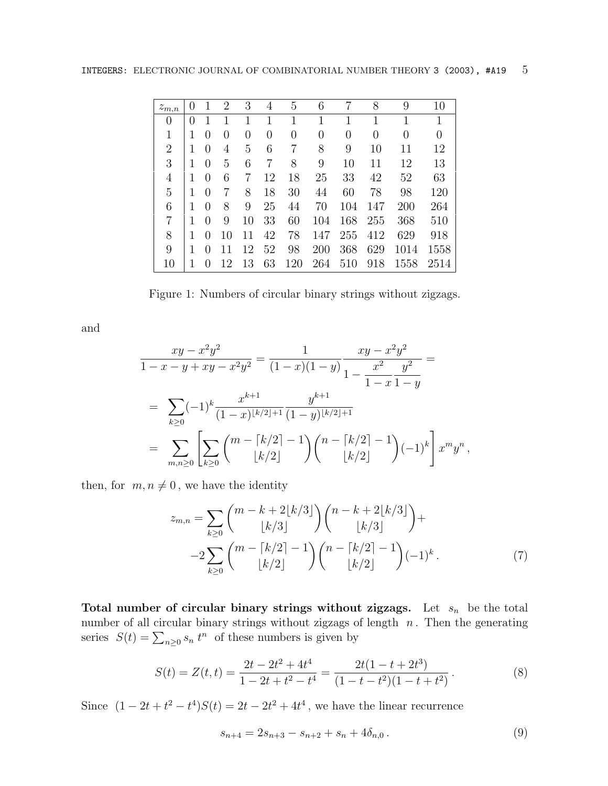| $z_{m,n}$      | $\left( \right)$ |                  | $\overline{2}$   | 3        | 4  | 5   | 6   | 7   | 8        | 9    | 10   |
|----------------|------------------|------------------|------------------|----------|----|-----|-----|-----|----------|------|------|
| 0              | $\left( \right)$ |                  |                  |          | 1  | 1   | 1   | 1   | 1        | 1    | 1    |
| $\mathbf{1}$   |                  | $\left( \right)$ | $\left( \right)$ | $\theta$ | 0  | 0   | 0   | 0   | $\theta$ | 0    | 0    |
| $\overline{2}$ |                  | $\left( \right)$ | 4                | 5        | 6  | 7   | 8   | 9   | 10       | 11   | 12   |
| 3              |                  | $\left( \right)$ | 5                | 6        | 7  | 8   | 9   | 10  | 11       | 12   | 13   |
| 4              |                  | $\left( \right)$ | 6                | 7        | 12 | 18  | 25  | 33  | 42       | 52   | 63   |
| 5              |                  | 0                | 7                | 8        | 18 | 30  | 44  | 60  | 78       | 98   | 120  |
| 6              | 1                | 0                | 8                | 9        | 25 | 44  | 70  | 104 | 147      | 200  | 264  |
| 7              |                  |                  | 9                | 10       | 33 | 60  | 104 | 168 | 255      | 368  | 510  |
| 8              |                  |                  | 10               | 11       | 42 | 78  | 147 | 255 | 412      | 629  | 918  |
| 9              |                  |                  |                  | 12       | 52 | 98  | 200 | 368 | 629      | 1014 | 1558 |
| 10             |                  |                  | 12               | 13       | 63 | 120 | 264 | 510 | 918      | 1558 | 2514 |

Figure 1: Numbers of circular binary strings without zigzags.

and

$$
\frac{xy - x^2y^2}{1 - x - y + xy - x^2y^2} = \frac{1}{(1 - x)(1 - y)} \frac{xy - x^2y^2}{1 - \frac{x^2}{1 - x}} =
$$
\n
$$
= \sum_{k \ge 0} (-1)^k \frac{x^{k+1}}{(1 - x)^{\lfloor k/2 \rfloor + 1}} \frac{y^{k+1}}{(1 - y)^{\lfloor k/2 \rfloor + 1}}
$$
\n
$$
= \sum_{m,n \ge 0} \left[ \sum_{k \ge 0} {m - \lfloor k/2 \rfloor - 1 \choose \lfloor k/2 \rfloor} {n - \lfloor k/2 \rfloor - 1 \choose \lfloor k/2 \rfloor} (-1)^k \right] x^m y^n,
$$

then, for  $m, n \neq 0$ , we have the identity

$$
z_{m,n} = \sum_{k\geq 0} {m-k+2\lfloor k/3 \rfloor \choose \lfloor k/3 \rfloor} {n-k+2\lfloor k/3 \rfloor \choose \lfloor k/3 \rfloor} +
$$
  

$$
-2 \sum_{k\geq 0} {m-\lceil k/2 \rceil - 1 \choose \lfloor k/2 \rfloor} {n-\lceil k/2 \rceil - 1 \choose \lfloor k/2 \rfloor} (-1)^k.
$$
 (7)

Total number of circular binary strings without zigzags. Let  $s_n$  be the total number of all circular binary strings without zigzags of length  $n$ . Then the generating series  $S(t) = \sum_{n\geq 0} s_n t^n$  of these numbers is given by

$$
S(t) = Z(t,t) = \frac{2t - 2t^2 + 4t^4}{1 - 2t + t^2 - t^4} = \frac{2t(1 - t + 2t^3)}{(1 - t - t^2)(1 - t + t^2)}.
$$
\n(8)

Since  $(1 - 2t + t^2 - t^4)S(t) = 2t - 2t^2 + 4t^4$ , we have the linear recurrence

$$
s_{n+4} = 2s_{n+3} - s_{n+2} + s_n + 4\delta_{n,0} \,. \tag{9}
$$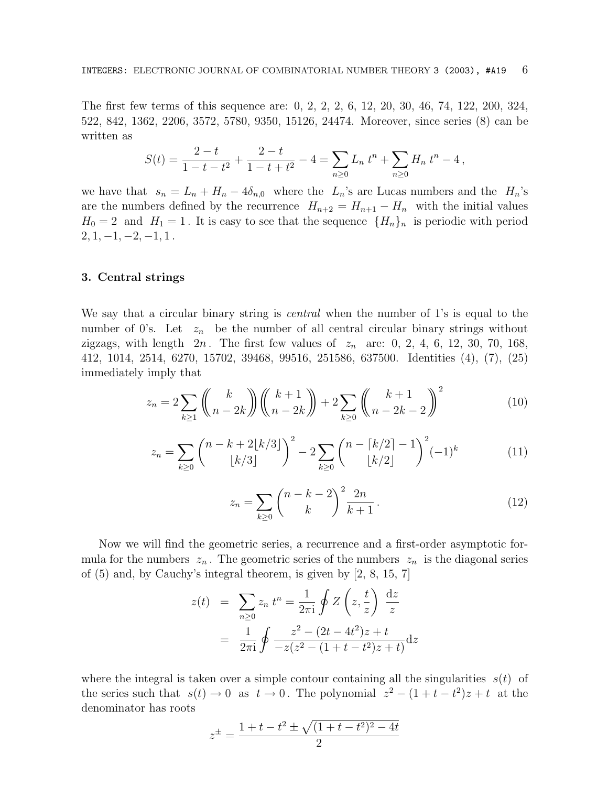The first few terms of this sequence are: 0, 2, 2, 2, 6, 12, 20, 30, 46, 74, 122, 200, 324, 522, 842, 1362, 2206, 3572, 5780, 9350, 15126, 24474. Moreover, since series (8) can be written as

$$
S(t) = \frac{2-t}{1-t-t^2} + \frac{2-t}{1-t+t^2} - 4 = \sum_{n\geq 0} L_n t^n + \sum_{n\geq 0} H_n t^n - 4,
$$

we have that  $s_n = L_n + H_n - 4\delta_{n,0}$  where the  $L_n$ 's are Lucas numbers and the  $H_n$ 's are the numbers defined by the recurrence  $H_{n+2} = H_{n+1} - H_n$  with the initial values  $H_0 = 2$  and  $H_1 = 1$ . It is easy to see that the sequence  $\{H_n\}_n$  is periodic with period  $2, 1, -1, -2, -1, 1$ .

## **3. Central strings**

We say that a circular binary string is *central* when the number of 1's is equal to the number of 0's. Let  $z_n$  be the number of all central circular binary strings without zigzags, with length  $2n$ . The first few values of  $z_n$  are: 0, 2, 4, 6, 12, 30, 70, 168, 412, 1014, 2514, 6270, 15702, 39468, 99516, 251586, 637500. Identities (4), (7), (25) immediately imply that

$$
z_n = 2\sum_{k\geq 1} \binom{k}{n-2k} \binom{k+1}{n-2k} + 2\sum_{k\geq 0} \binom{k+1}{n-2k-2}^2 \tag{10}
$$

$$
z_n = \sum_{k\geq 0} {n-k+2\lfloor k/3 \rfloor \choose \lfloor k/3 \rfloor}^2 - 2 \sum_{k\geq 0} {n-\lceil k/2 \rceil - 1 \choose \lfloor k/2 \rfloor}^2 (-1)^k
$$
(11)

$$
z_n = \sum_{k \ge 0} \binom{n-k-2}{k}^2 \frac{2n}{k+1}.
$$
 (12)

Now we will find the geometric series, a recurrence and a first-order asymptotic formula for the numbers  $z_n$ . The geometric series of the numbers  $z_n$  is the diagonal series of (5) and, by Cauchy's integral theorem, is given by [2, 8, 15, 7]

$$
z(t) = \sum_{n\geq 0} z_n t^n = \frac{1}{2\pi i} \oint Z\left(z, \frac{t}{z}\right) \frac{dz}{z}
$$

$$
= \frac{1}{2\pi i} \oint \frac{z^2 - (2t - 4t^2)z + t}{-z(z^2 - (1 + t - t^2)z + t)} dz
$$

where the integral is taken over a simple contour containing all the singularities  $s(t)$  of the series such that  $s(t) \to 0$  as  $t \to 0$ . The polynomial  $z^2 - (1 + t - t^2)z + t$  at the denominator has roots

$$
z^{\pm} = \frac{1+t-t^2 \pm \sqrt{(1+t-t^2)^2 - 4t}}{2}
$$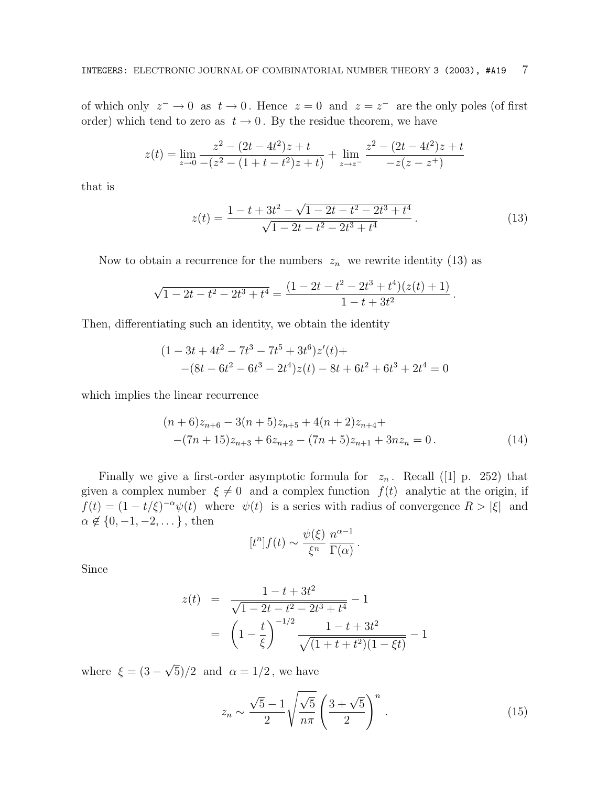of which only  $z^- \to 0$  as  $t \to 0$ . Hence  $z = 0$  and  $z = z^-$  are the only poles (of first order) which tend to zero as  $t \to 0$ . By the residue theorem, we have

$$
z(t) = \lim_{z \to 0} \frac{z^2 - (2t - 4t^2)z + t}{-(z^2 - (1 + t - t^2)z + t)} + \lim_{z \to z^-} \frac{z^2 - (2t - 4t^2)z + t}{-z(z - z^+)}
$$

that is

$$
z(t) = \frac{1 - t + 3t^2 - \sqrt{1 - 2t - t^2 - 2t^3 + t^4}}{\sqrt{1 - 2t - t^2 - 2t^3 + t^4}}.
$$
\n(13)

Now to obtain a recurrence for the numbers  $z_n$  we rewrite identity (13) as

$$
\sqrt{1-2t-t^2-2t^3+t^4} = \frac{(1-2t-t^2-2t^3+t^4)(z(t)+1)}{1-t+3t^2}.
$$

Then, differentiating such an identity, we obtain the identity

$$
(1 - 3t + 4t2 - 7t3 - 7t5 + 3t6)z'(t) +
$$
  
-(8t - 6t<sup>2</sup> - 6t<sup>3</sup> - 2t<sup>4</sup>)z(t) - 8t + 6t<sup>2</sup> + 6t<sup>3</sup> + 2t<sup>4</sup> = 0

which implies the linear recurrence

$$
(n+6)z_{n+6} - 3(n+5)z_{n+5} + 4(n+2)z_{n+4} +
$$
  
-(7n+15)z\_{n+3} + 6z\_{n+2} - (7n+5)z\_{n+1} + 3nz\_n = 0. (14)

Finally we give a first-order asymptotic formula for  $z_n$ . Recall ([1] p. 252) that given a complex number  $\xi \neq 0$  and a complex function  $f(t)$  analytic at the origin, if  $f(t) = (1 - t/\xi)^{-\alpha} \psi(t)$  where  $\psi(t)$  is a series with radius of convergence  $R > |\xi|$  and  $\alpha \notin \{0, -1, -2, \dots\}$ , then

$$
[t^n]f(t) \sim \frac{\psi(\xi)}{\xi^n} \frac{n^{\alpha-1}}{\Gamma(\alpha)}.
$$

Since

$$
z(t) = \frac{1 - t + 3t^2}{\sqrt{1 - 2t - t^2 - 2t^3 + t^4}} - 1
$$

$$
= \left(1 - \frac{t}{\xi}\right)^{-1/2} \frac{1 - t + 3t^2}{\sqrt{(1 + t + t^2)(1 - \xi t)}} - 1
$$

where  $\xi = (3 - \sqrt{5})/2$  and  $\alpha = 1/2$ , we have

$$
z_n \sim \frac{\sqrt{5} - 1}{2} \sqrt{\frac{\sqrt{5}}{n\pi}} \left(\frac{3 + \sqrt{5}}{2}\right)^n.
$$
 (15)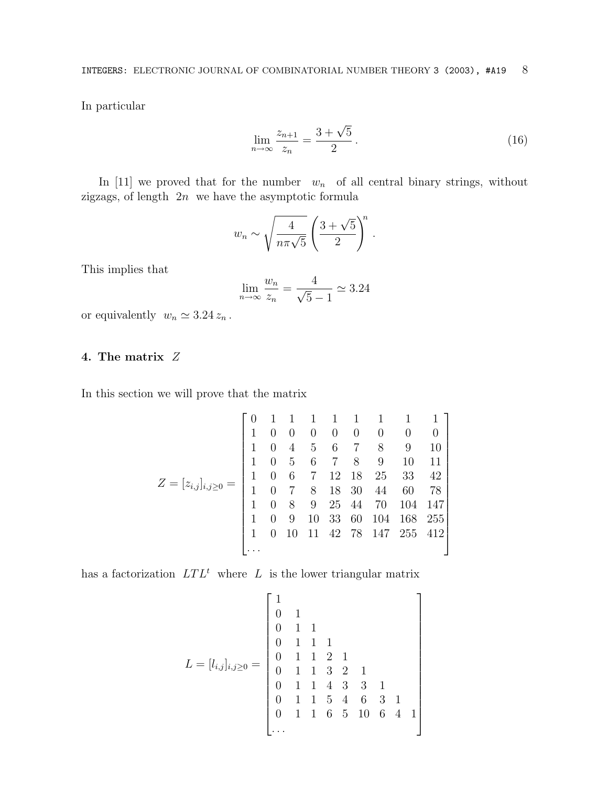In particular

$$
\lim_{n \to \infty} \frac{z_{n+1}}{z_n} = \frac{3 + \sqrt{5}}{2}.
$$
\n(16)

In [11] we proved that for the number  $w_n$  of all central binary strings, without zigzags, of length 2n we have the asymptotic formula

$$
w_n \sim \sqrt{\frac{4}{n\pi\sqrt{5}}} \left(\frac{3+\sqrt{5}}{2}\right)^n.
$$

This implies that

$$
\lim_{n \to \infty} \frac{w_n}{z_n} = \frac{4}{\sqrt{5} - 1} \simeq 3.24
$$

or equivalently  $w_n \simeq 3.24 z_n$ .

# **4. The matrix** Z

In this section we will prove that the matrix

$$
Z = [z_{i,j}]_{i,j\geq 0} = \begin{bmatrix} 0 & 1 & 1 & 1 & 1 & 1 & 1 & 1 & 1 \\ 1 & 0 & 0 & 0 & 0 & 0 & 0 & 0 & 0 \\ 1 & 0 & 4 & 5 & 6 & 7 & 8 & 9 & 10 \\ 1 & 0 & 5 & 6 & 7 & 8 & 9 & 10 & 11 \\ 1 & 0 & 6 & 7 & 12 & 18 & 25 & 33 & 42 \\ 1 & 0 & 7 & 8 & 18 & 30 & 44 & 60 & 78 \\ 1 & 0 & 8 & 9 & 25 & 44 & 70 & 104 & 147 \\ 1 & 0 & 9 & 10 & 33 & 60 & 104 & 168 & 255 \\ 1 & 0 & 10 & 11 & 42 & 78 & 147 & 255 & 412 \\ \dots \end{bmatrix}
$$

has a factorization  $LTL^{t}$  where L is the lower triangular matrix

L = [li,j ]i,j≥<sup>0</sup> = 1 0 1 0 11 0 111 0 1121 0 1132 1 0 1143 3 1 0 1154 6 31 0 1 1 6 5 10 6 4 1 ...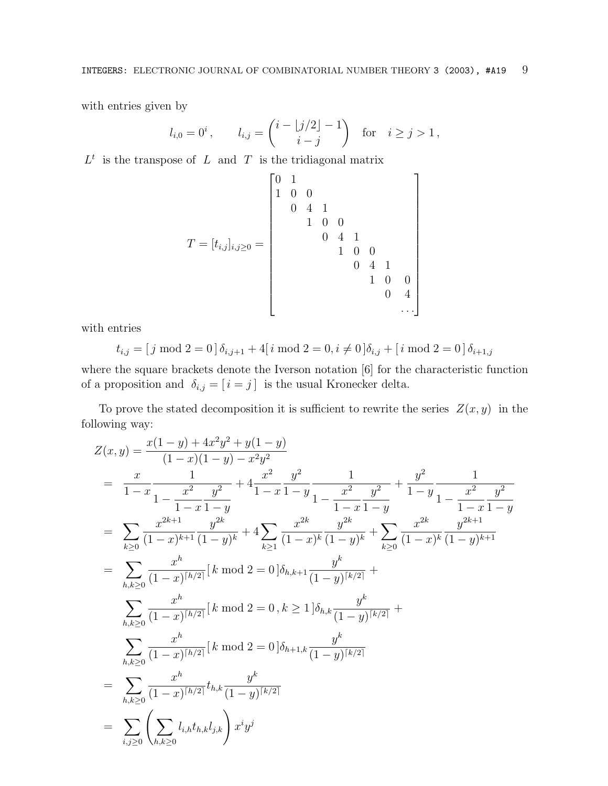with entries given by

$$
l_{i,0} = 0^i
$$
,  $l_{i,j} = \binom{i - \lfloor j/2 \rfloor - 1}{i - j}$  for  $i \ge j > 1$ ,

 $L<sup>t</sup>$  is the transpose of L and T is the tridiagonal matrix

 0 1 100 041 100 041 T = [ti,j ]i,j≥<sup>0</sup> = 100 041 10 0 0 4 ... 

with entries

$$
t_{i,j} = [j \mod 2 = 0] \delta_{i,j+1} + 4[i \mod 2 = 0, i \neq 0] \delta_{i,j} + [i \mod 2 = 0] \delta_{i+1,j}
$$

where the square brackets denote the Iverson notation [6] for the characteristic function of a proposition and  $\delta_{i,j} = [i = j]$  is the usual Kronecker delta.

To prove the stated decomposition it is sufficient to rewrite the series  $Z(x, y)$  in the following way:

$$
Z(x,y) = \frac{x(1-y) + 4x^2y^2 + y(1-y)}{(1-x)(1-y) - x^2y^2}
$$
  
\n
$$
= \frac{x}{1-x} \frac{1}{1 - \frac{x^2}{1-x} \frac{y^2}{1-y}} + 4 \frac{x^2}{1-x} \frac{y^2}{1-y} \frac{1}{1 - \frac{x^2}{1-x} \frac{y^2}{1-y}} + \frac{y^2}{1-y} \frac{1}{1 - \frac{x^2}{1-x} \frac{y^2}{1-y}}
$$
  
\n
$$
= \sum_{k\geq 0} \frac{x^{2k+1}}{(1-x)^{k+1}} \frac{y^{2k}}{(1-y)^k} + 4 \sum_{k\geq 1} \frac{x^{2k}}{(1-x)^k} \frac{y^{2k}}{(1-y)^k} + \sum_{k\geq 0} \frac{x^{2k}}{(1-x)^k} \frac{y^{2k+1}}{(1-y)^{k+1}}
$$
  
\n
$$
= \sum_{h,k\geq 0} \frac{x^h}{(1-x)^{[h/2]}} [k \mod 2 = 0] \delta_{h,k+1} \frac{y^k}{(1-y)^{[k/2]}} + \sum_{h,k\geq 0} \frac{x^h}{(1-x)^{[h/2]}} [k \mod 2 = 0, k \geq 1] \delta_{h,k} \frac{y^k}{(1-y)^{[k/2]}} + \sum_{h,k\geq 0} \frac{x^h}{(1-x)^{[h/2]}} [k \mod 2 = 0] \delta_{h+1,k} \frac{y^k}{(1-y)^{[k/2]}}
$$
  
\n
$$
= \sum_{h,k\geq 0} \frac{x^h}{(1-x)^{[h/2]}} t_{h,k} \frac{y^k}{(1-y)^{[k/2]}}
$$
  
\n
$$
= \sum_{i,j\geq 0} \left( \sum_{h,k\geq 0} l_{i,h} t_{h,k} l_{j,k} \right) x^i y^j
$$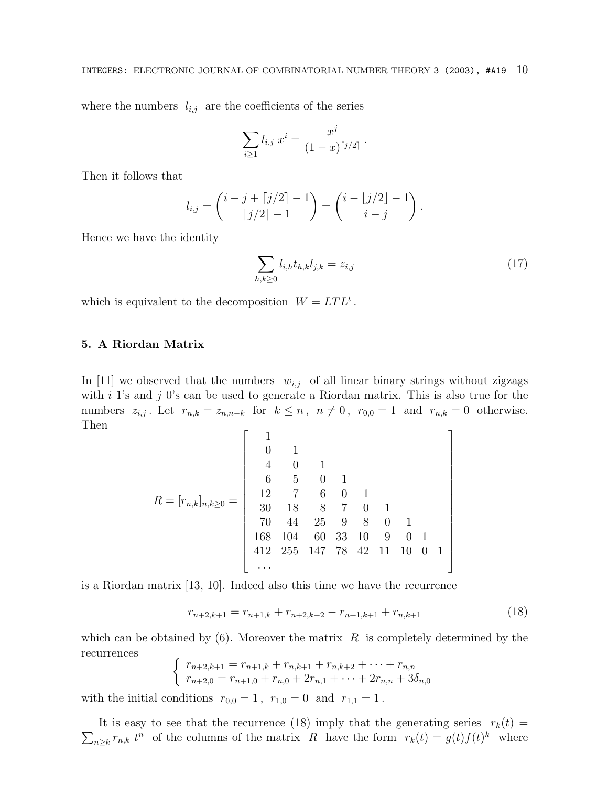where the numbers  $l_{i,j}$  are the coefficients of the series

$$
\sum_{i\geq 1} l_{i,j} x^i = \frac{x^j}{(1-x)^{\lceil j/2 \rceil}}.
$$

Then it follows that

$$
l_{i,j} = \begin{pmatrix} i-j+\lceil j/2 \rceil -1 \\ \lceil j/2 \rceil -1 \end{pmatrix} = \begin{pmatrix} i-\lfloor j/2 \rfloor -1 \\ i-j \end{pmatrix}.
$$

Hence we have the identity

$$
\sum_{h,k\geq 0} l_{i,h} t_{h,k} l_{j,k} = z_{i,j} \tag{17}
$$

which is equivalent to the decomposition  $W = LTL^{t}$ .

## **5. A Riordan Matrix**

In [11] we observed that the numbers  $w_{i,j}$  of all linear binary strings without zigzags with  $i$  1's and  $j$  0's can be used to generate a Riordan matrix. This is also true for the numbers  $z_{i,j}$ . Let  $r_{n,k} = z_{n,n-k}$  for  $k \leq n, n \neq 0, r_{0,0} = 1$  and  $r_{n,k} = 0$  otherwise. Then

R = [rn,k]n,k≥<sup>0</sup> = 1 0 1 401 6 5 01 12 7 6 0 1 30 18 8 7 0 1 70 44 25 9 8 0 1 168 104 60 33 10 9 0 1 412 255 147 78 42 11 10 0 1 ... 

is a Riordan matrix [13, 10]. Indeed also this time we have the recurrence

$$
r_{n+2,k+1} = r_{n+1,k} + r_{n+2,k+2} - r_{n+1,k+1} + r_{n,k+1}
$$
\n(18)

which can be obtained by  $(6)$ . Moreover the matrix R is completely determined by the recurrences

$$
\begin{cases}\n r_{n+2,k+1} = r_{n+1,k} + r_{n,k+1} + r_{n,k+2} + \dots + r_{n,n} \\
 r_{n+2,0} = r_{n+1,0} + r_{n,0} + 2r_{n,1} + \dots + 2r_{n,n} + 3\delta_{n,0}\n\end{cases}
$$

with the initial conditions  $r_{0,0} = 1$ ,  $r_{1,0} = 0$  and  $r_{1,1} = 1$ .

 $\sum_{n\geq k} r_{n,k} t^n$  of the columns of the matrix R have the form  $r_k(t) = g(t)f(t)^k$  where It is easy to see that the recurrence (18) imply that the generating series  $r_k(t) =$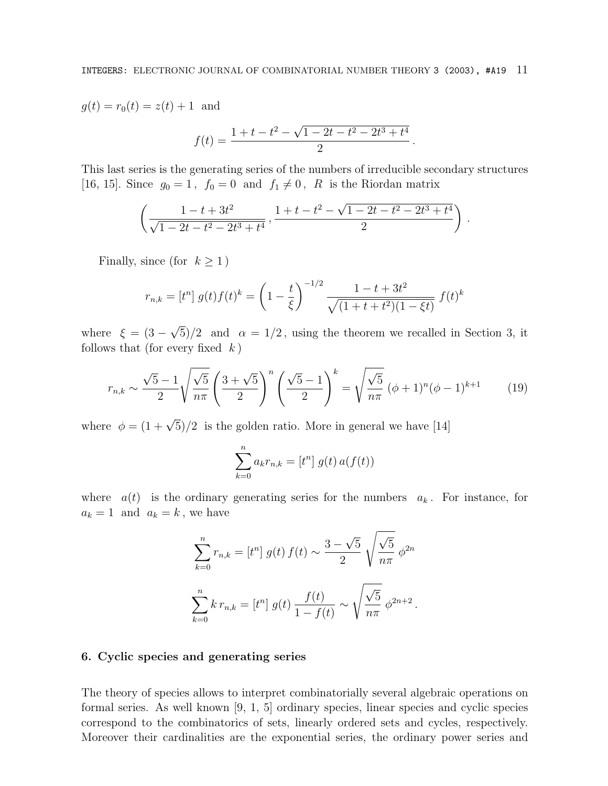$g(t) = r_0(t) = z(t) + 1$  and

$$
f(t) = \frac{1 + t - t^2 - \sqrt{1 - 2t - t^2 - 2t^3 + t^4}}{2}.
$$

This last series is the generating series of the numbers of irreducible secondary structures [16, 15]. Since  $g_0 = 1$ ,  $f_0 = 0$  and  $f_1 \neq 0$ , R is the Riordan matrix

$$
\left(\frac{1-t+3t^2}{\sqrt{1-2t-t^2-2t^3+t^4}}, \frac{1+t-t^2-\sqrt{1-2t-t^2-2t^3+t^4}}{2}\right).
$$

Finally, since (for  $k \ge 1$ )

$$
r_{n,k} = [t^n] g(t) f(t)^k = \left(1 - \frac{t}{\xi}\right)^{-1/2} \frac{1 - t + 3t^2}{\sqrt{(1 + t + t^2)(1 - \xi t)}} f(t)^k
$$

where  $\xi = (3 - \sqrt{5})/2$  and  $\alpha = 1/2$ , using the theorem we recalled in Section 3, it follows that (for every fixed  $k$ )

$$
r_{n,k} \sim \frac{\sqrt{5}-1}{2} \sqrt{\frac{\sqrt{5}}{n\pi}} \left(\frac{3+\sqrt{5}}{2}\right)^n \left(\frac{\sqrt{5}-1}{2}\right)^k = \sqrt{\frac{\sqrt{5}}{n\pi}} \left(\phi+1\right)^n \left(\phi-1\right)^{k+1} \tag{19}
$$

where  $\phi = (1 + \sqrt{5})/2$  is the golden ratio. More in general we have [14]

$$
\sum_{k=0}^{n} a_k r_{n,k} = [t^n] g(t) a(f(t))
$$

where  $a(t)$  is the ordinary generating series for the numbers  $a_k$ . For instance, for  $a_k = 1$  and  $a_k = k$ , we have

$$
\sum_{k=0}^{n} r_{n,k} = [t^n] g(t) f(t) \sim \frac{3 - \sqrt{5}}{2} \sqrt{\frac{\sqrt{5}}{n\pi}} \phi^{2n}
$$

$$
\sum_{k=0}^{n} k r_{n,k} = [t^n] g(t) \frac{f(t)}{1 - f(t)} \sim \sqrt{\frac{\sqrt{5}}{n\pi}} \phi^{2n+2}.
$$

### **6. Cyclic species and generating series**

The theory of species allows to interpret combinatorially several algebraic operations on formal series. As well known [9, 1, 5] ordinary species, linear species and cyclic species correspond to the combinatorics of sets, linearly ordered sets and cycles, respectively. Moreover their cardinalities are the exponential series, the ordinary power series and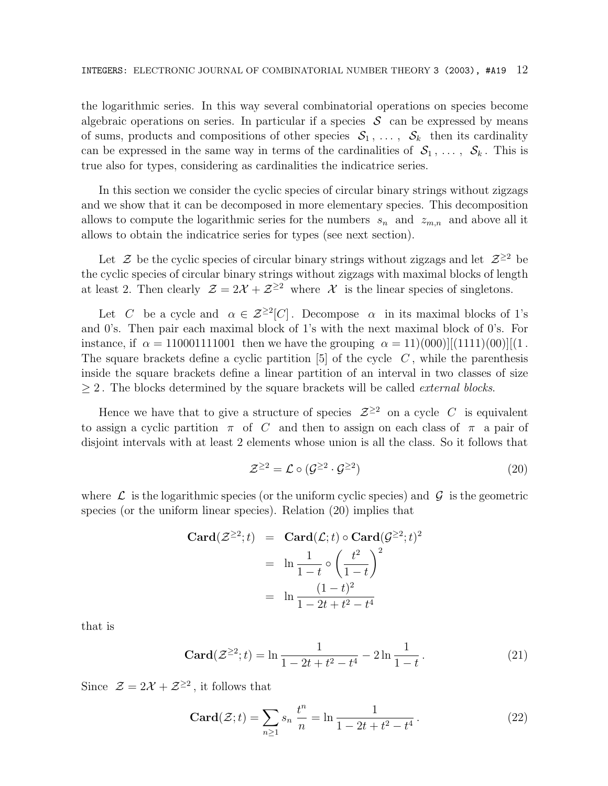the logarithmic series. In this way several combinatorial operations on species become algebraic operations on series. In particular if a species  $S$  can be expressed by means of sums, products and compositions of other species  $S_1, \ldots, S_k$  then its cardinality can be expressed in the same way in terms of the cardinalities of  $S_1, \ldots, S_k$ . This is true also for types, considering as cardinalities the indicatrice series.

In this section we consider the cyclic species of circular binary strings without zigzags and we show that it can be decomposed in more elementary species. This decomposition allows to compute the logarithmic series for the numbers  $s_n$  and  $z_{m,n}$  and above all it allows to obtain the indicatrice series for types (see next section).

Let  $\mathcal Z$  be the cyclic species of circular binary strings without zigzags and let  $\mathcal Z^{\geq 2}$  be the cyclic species of circular binary strings without zigzags with maximal blocks of length at least 2. Then clearly  $\mathcal{Z} = 2\mathcal{X} + \mathcal{Z}^{\geq 2}$  where  $\mathcal X$  is the linear species of singletons.

Let C be a cycle and  $\alpha \in \mathcal{Z}^{\geq 2}[C]$ . Decompose  $\alpha$  in its maximal blocks of 1's and 0's. Then pair each maximal block of 1's with the next maximal block of 0's. For instance, if  $\alpha = 110001111001$  then we have the grouping  $\alpha = 11(000)||(1111)(00)||(1.111)(0.111)(0.111)$ The square brackets define a cyclic partition  $[5]$  of the cycle  $C$ , while the parenthesis inside the square brackets define a linear partition of an interval in two classes of size  $\geq$  2. The blocks determined by the square brackets will be called *external blocks*.

Hence we have that to give a structure of species  $\mathcal{Z}^{\geq 2}$  on a cycle C is equivalent to assign a cyclic partition  $\pi$  of C and then to assign on each class of  $\pi$  a pair of disjoint intervals with at least 2 elements whose union is all the class. So it follows that

$$
\mathcal{Z}^{\geq 2} = \mathcal{L} \circ (\mathcal{G}^{\geq 2} \cdot \mathcal{G}^{\geq 2}) \tag{20}
$$

where  $\mathcal L$  is the logarithmic species (or the uniform cyclic species) and  $\mathcal G$  is the geometric species (or the uniform linear species). Relation (20) implies that

$$
\begin{aligned}\n\text{Card}(\mathcal{Z}^{\geq 2}; t) &= \text{Card}(\mathcal{L}; t) \circ \text{Card}(\mathcal{G}^{\geq 2}; t)^2 \\
&= \ln \frac{1}{1-t} \circ \left(\frac{t^2}{1-t}\right)^2 \\
&= \ln \frac{(1-t)^2}{1-2t+t^2-t^4}\n\end{aligned}
$$

that is

$$
\mathbf{Card}(\mathcal{Z}^{\geq 2};t) = \ln \frac{1}{1 - 2t + t^2 - t^4} - 2\ln \frac{1}{1 - t}.
$$
 (21)

Since  $\mathcal{Z} = 2\mathcal{X} + \mathcal{Z}^{\geq 2}$ , it follows that

$$
\mathbf{Card}(\mathcal{Z};t) = \sum_{n\geq 1} s_n \frac{t^n}{n} = \ln \frac{1}{1 - 2t + t^2 - t^4}.
$$
 (22)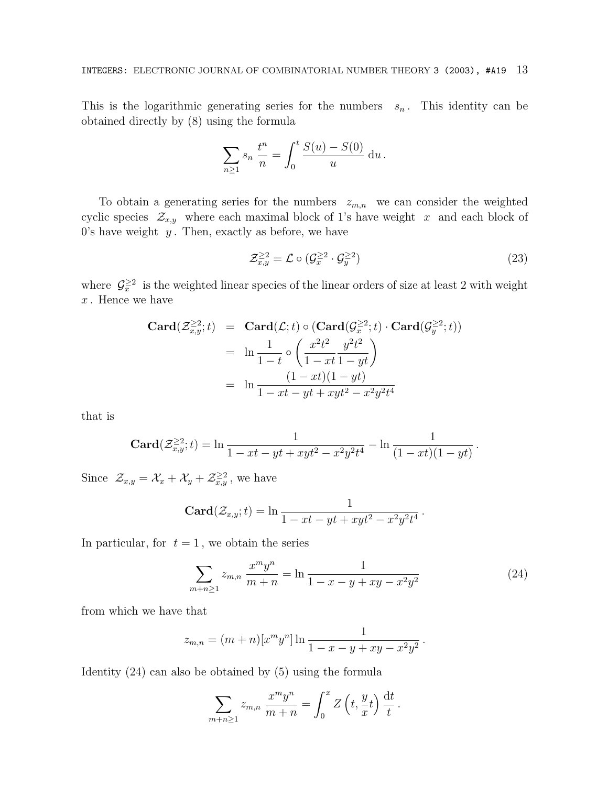This is the logarithmic generating series for the numbers  $s_n$ . This identity can be obtained directly by (8) using the formula

$$
\sum_{n\geq 1} s_n \frac{t^n}{n} = \int_0^t \frac{S(u) - S(0)}{u} \, \mathrm{d}u \, .
$$

To obtain a generating series for the numbers  $z_{m,n}$  we can consider the weighted cyclic species  $\mathcal{Z}_{x,y}$  where each maximal block of 1's have weight x and each block of 0's have weight  $y$ . Then, exactly as before, we have

$$
\mathcal{Z}_{x,y}^{\geq 2} = \mathcal{L} \circ (\mathcal{G}_x^{\geq 2} \cdot \mathcal{G}_y^{\geq 2}) \tag{23}
$$

where  $\mathcal{G}^{\geq 2}_x$  is the weighted linear species of the linear orders of size at least 2 with weight  $x$ . Hence we have

$$
\begin{array}{rcl}\n\mathbf{Card}(\mathcal{Z}_{x,y}^{\geq 2};t) & = & \mathbf{Card}(\mathcal{L};t) \circ (\mathbf{Card}(\mathcal{G}_x^{\geq 2};t) \cdot \mathbf{Card}(\mathcal{G}_y^{\geq 2};t)) \\
& = & \ln \frac{1}{1-t} \circ \left( \frac{x^2 t^2}{1-xt} \frac{y^2 t^2}{1-yt} \right) \\
& = & \ln \frac{(1-xt)(1-yt)}{1-xt-yt+xyt^2-x^2y^2t^4}\n\end{array}
$$

that is

$$
\operatorname{Card}(\mathcal{Z}_{x,y}^{\geq 2};t) = \ln \frac{1}{1 - xt - yt + xyt^2 - x^2y^2t^4} - \ln \frac{1}{(1 - xt)(1 - yt)}.
$$

Since  $\mathcal{Z}_{x,y} = \mathcal{X}_x + \mathcal{X}_y + \mathcal{Z}_{x,y}^{\geq 2}$ , we have

$$
\operatorname{Card}(\mathcal{Z}_{x,y};t)=\ln\frac{1}{1-xt-yt+xyt^2-x^2y^2t^4}.
$$

In particular, for  $t = 1$ , we obtain the series

$$
\sum_{m+n\geq 1} z_{m,n} \frac{x^m y^n}{m+n} = \ln \frac{1}{1-x-y+xy-x^2y^2}
$$
 (24)

from which we have that

$$
z_{m,n} = (m+n)[x^m y^n] \ln \frac{1}{1-x-y+xy-x^2y^2}.
$$

Identity (24) can also be obtained by (5) using the formula

$$
\sum_{m+n\geq 1} z_{m,n} \frac{x^m y^n}{m+n} = \int_0^x Z\left(t, \frac{y}{x}t\right) \frac{\mathrm{d}t}{t}.
$$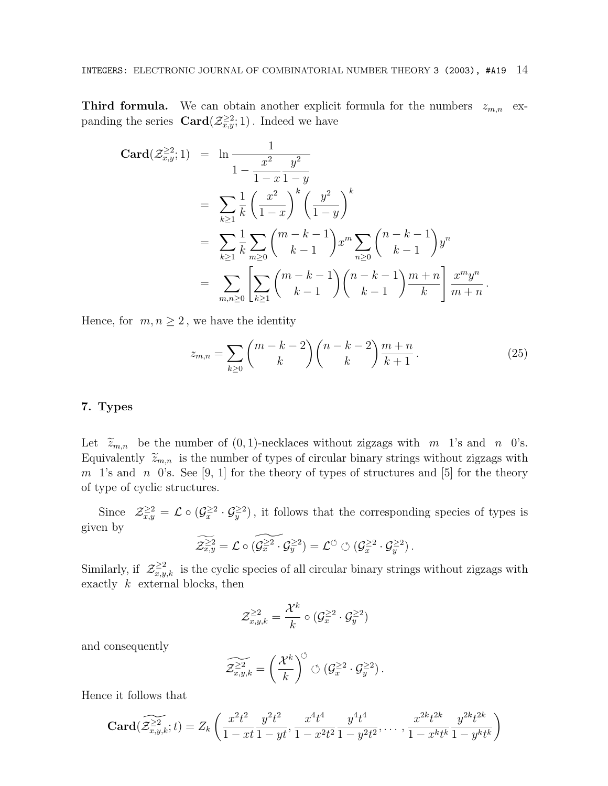**Third formula.** We can obtain another explicit formula for the numbers  $z_{m,n}$  expanding the series  $\text{Card}(\mathcal{Z}_{x,y}^{\geq 2};1)$ . Indeed we have

$$
\begin{split}\n\text{Card}(\mathcal{Z}_{x,y}^{\geq 2};1) &= \ln \frac{1}{1-x^2} \frac{y^2}{1-y} \\
&= \sum_{k\geq 1} \frac{1}{k} \left(\frac{x^2}{1-x}\right)^k \left(\frac{y^2}{1-y}\right)^k \\
&= \sum_{k\geq 1} \frac{1}{k} \sum_{m\geq 0} {m-k-1 \choose k-1} x^m \sum_{n\geq 0} {n-k-1 \choose k-1} y^n \\
&= \sum_{m,n\geq 0} \left[ \sum_{k\geq 1} {m-k-1 \choose k-1} {n-k-1 \choose k-1} \frac{m+n}{k} \right] \frac{x^m y^n}{m+n}.\n\end{split}
$$

Hence, for  $m, n \geq 2$ , we have the identity

$$
z_{m,n} = \sum_{k \ge 0} {m-k-2 \choose k} {n-k-2 \choose k} \frac{m+n}{k+1}.
$$
 (25)

## **7. Types**

Let  $\tilde{z}_{m,n}$  be the number of  $(0, 1)$ -necklaces without zigzags with m 1's and n 0's. Equivalently  $\widetilde{z}_{m,n}$  is the number of types of circular binary strings without zigzags with m 1's and n 0's. See [9, 1] for the theory of types of structures and [5] for the theory of type of cyclic structures.

Since  $\mathcal{Z}^{\geq 2}_{x,y} = \mathcal{L} \circ (\mathcal{G}^{\geq 2}_x \cdot \mathcal{G}^{\geq 2}_y)$ , it follows that the corresponding species of types is given by

$$
\widetilde{\mathcal{Z}_{x,y}^{\geq 2}} = \mathcal{L} \circ (\widetilde{\mathcal{G}_x^{\geq 2} \cdot \mathcal{G}_y^{\geq 2}}) = \mathcal{L}^{\circlearrowleft} \circlearrowleft (\mathcal{G}_x^{\geq 2} \cdot \mathcal{G}_y^{\geq 2})\,.
$$

Similarly, if  $\mathcal{Z}_{x,y,k}^{\geq 2}$  is the cyclic species of all circular binary strings without zigzags with exactly  $k$  external blocks, then

$$
\mathcal{Z}_{x,y,k}^{\geq 2} = \frac{\mathcal{X}^k}{k} \circ (\mathcal{G}_x^{\geq 2} \cdot \mathcal{G}_y^{\geq 2})
$$

and consequently

$$
\widetilde{\mathcal{Z}^{\geq 2}_{x,y,k}} = \left(\frac{\mathcal{X}^k}{k}\right)^{\circlearrowleft} \circlearrowleft (\mathcal{G}^{\geq 2}_x \cdot \mathcal{G}^{\geq 2}_y \right).
$$

Hence it follows that

$$
\mathbf{Card}(\widetilde{\mathcal{Z}_{x,y,k}}^2;t) = Z_k\left(\frac{x^2t^2}{1-xt}\frac{y^2t^2}{1-yt}, \frac{x^4t^4}{1-x^2t^2}\frac{y^4t^4}{1-y^2t^2}, \dots, \frac{x^{2k}t^{2k}}{1-x^kt^k}\frac{y^{2k}t^{2k}}{1-y^kt^k}\right)
$$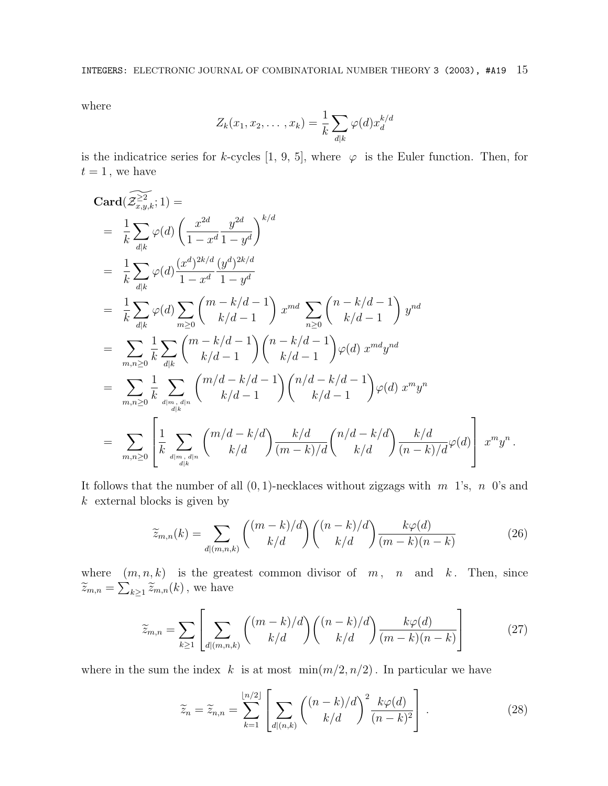where

$$
Z_k(x_1, x_2, \dots, x_k) = \frac{1}{k} \sum_{d|k} \varphi(d) x_d^{k/d}
$$

is the indicatrice series for k-cycles [1, 9, 5], where  $\varphi$  is the Euler function. Then, for  $t = 1$ , we have

$$
\begin{split}\n &\mathbf{Card}(\widehat{\mathcal{Z}}_{x,y,k}^{\geq 2};1)=\\
 &= \frac{1}{k}\sum_{d|k}\varphi(d)\left(\frac{x^{2d}}{1-x^{d}}\frac{y^{2d}}{1-y^{d}}\right)^{k/d} \\
 &= \frac{1}{k}\sum_{d|k}\varphi(d)\frac{(x^{d})^{2k/d}}{1-x^{d}}\frac{(y^{d})^{2k/d}}{1-y^{d}} \\
 &= \frac{1}{k}\sum_{d|k}\varphi(d)\sum_{m\geq 0}\binom{m-k/d-1}{k/d-1}x^{md}\sum_{n\geq 0}\binom{n-k/d-1}{k/d-1}y^{nd} \\
 &= \sum_{m,n\geq 0}\frac{1}{k}\sum_{d|k}\binom{m-k/d-1}{k/d-1}\binom{n-k/d-1}{k/d-1}\varphi(d)\,x^{md}y^{nd} \\
 &= \sum_{m,n\geq 0}\frac{1}{k}\sum_{d|m,\,d|n}\binom{m/d-k/d-1}{k/d-1}\binom{n/d-k/d-1}{k/d-1}\varphi(d)\,x^{m}y^{n} \\
 &= \sum_{m,n\geq 0}\left[\frac{1}{k}\sum_{d|m,\,d|n}\binom{m/d-k/d}{k/d}\frac{k/d}{(m-k)/d}\binom{n/d-k/d}{k/d}\frac{k/d}{(n-k)/d}\varphi(d)\right]\,x^{m}y^{n}.\n\end{split}
$$

It follows that the number of all  $(0, 1)$ -necklaces without zigzags with m 1's, n 0's and  $k$  external blocks is given by

$$
\widetilde{z}_{m,n}(k) = \sum_{d|(m,n,k)} \binom{(m-k)/d}{k/d} \binom{(n-k)/d}{k/d} \frac{k\varphi(d)}{(m-k)(n-k)}\tag{26}
$$

where  $(m, n, k)$  is the greatest common divisor of m, n and k. Then, since  $\widetilde{z}_{m,n} = \sum_{k \geq 1} \widetilde{z}_{m,n}(k)$ , we have

$$
\widetilde{z}_{m,n} = \sum_{k \ge 1} \left[ \sum_{d | (m,n,k)} \binom{(m-k)/d}{k/d} \binom{(n-k)/d}{k/d} \frac{k\varphi(d)}{(m-k)(n-k)} \right] \tag{27}
$$

where in the sum the index k is at most  $\min(m/2, n/2)$ . In particular we have

$$
\widetilde{z}_n = \widetilde{z}_{n,n} = \sum_{k=1}^{\lfloor n/2 \rfloor} \left[ \sum_{d \mid (n,k)} \binom{(n-k)/d}{k/d}^2 \frac{k\varphi(d)}{(n-k)^2} \right]. \tag{28}
$$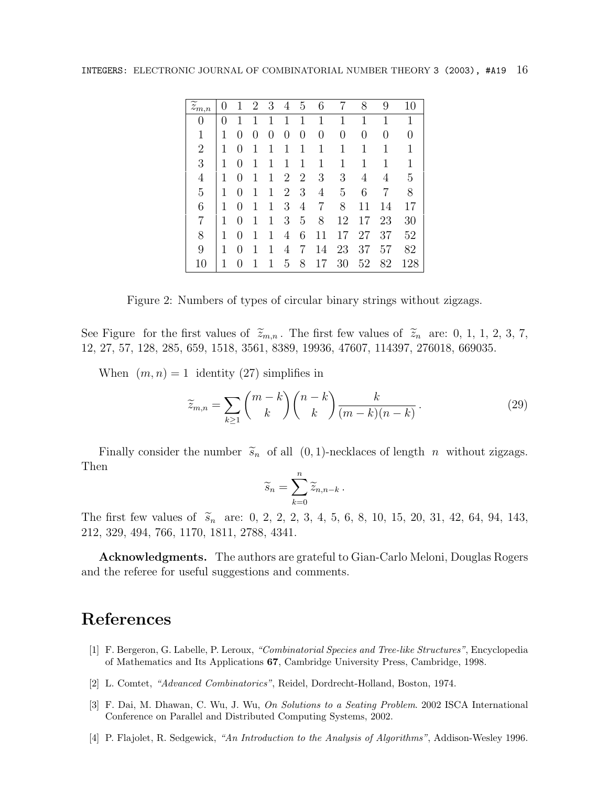| $\overline{\widetilde{z}_{m,n}}$ |   |                  | $\overline{2}$   | 3 | 4                | 5              | 6  |    | 8  | 9                | 10  |
|----------------------------------|---|------------------|------------------|---|------------------|----------------|----|----|----|------------------|-----|
| 0                                | 0 |                  |                  |   |                  | 1              | 1  | 1  | 1  | 1                | 1   |
| 1                                | 1 |                  | $\left( \right)$ | 0 | $\left( \right)$ | 0              | 0  | 0  | 0  | $\left( \right)$ | 0   |
| $\overline{2}$                   | 1 | $\left( \right)$ | 1                | 1 | 1                | 1              | 1  | 1  | 1  | 1                | 1   |
| 3                                | 1 | 0                | 1                |   | 1                | 1              | 1  | 1  | 1  | 1                | 1   |
| 4                                | 1 | 0                | 1                | 1 | $\overline{2}$   | $\overline{2}$ | 3  | 3  | 4  | 4                | 5   |
| $\overline{5}$                   | 1 | 0                | 1                | 1 | $\overline{2}$   | 3              | 4  | 5  | 6  | 7                | 8   |
| 6                                | 1 | 0                | 1                | 1 | 3                | 4              | 7  | 8  | 11 | 14               | 17  |
| 7                                | 1 | 0                | 1                | 1 | 3                | 5              | 8  | 12 | 17 | 23               | 30  |
| 8                                | 1 |                  | 1                | 1 | 4                | 6              | 11 | 17 | 27 | 37               | 52  |
| 9                                |   |                  |                  |   | 4                | 7              | 14 | 23 | 37 | 57               | 82  |
| 10                               |   |                  |                  |   | 5                | 8              | 17 | 30 | 52 | 82               | 128 |

Figure 2: Numbers of types of circular binary strings without zigzags.

See Figure for the first values of  $\tilde{z}_{m,n}$ . The first few values of  $\tilde{z}_n$  are: 0, 1, 1, 2, 3, 7, 12, 27, 57, 128, 285, 659, 1518, 3561, 8389, 19936, 47607, 114397, 276018, 669035.

When  $(m, n) = 1$  identity (27) simplifies in

$$
\widetilde{z}_{m,n} = \sum_{k \ge 1} \binom{m-k}{k} \binom{n-k}{k} \frac{k}{(m-k)(n-k)}.
$$
\n(29)

Finally consider the number  $\widetilde{s}_n$  of all  $(0, 1)$ -necklaces of length n without zigzags. Then

$$
\widetilde{s}_n = \sum_{k=0}^n \widetilde{z}_{n,n-k} \, .
$$

The first few values of  $\tilde{s}_n$  are: 0, 2, 2, 2, 3, 4, 5, 6, 8, 10, 15, 20, 31, 42, 64, 94, 143, 212, 329, 494, 766, 1170, 1811, 2788, 4341.

**Acknowledgments.** The authors are grateful to Gian-Carlo Meloni, Douglas Rogers and the referee for useful suggestions and comments.

# **References**

- [1] F. Bergeron, G. Labelle, P. Leroux, "Combinatorial Species and Tree-like Structures", Encyclopedia of Mathematics and Its Applications **67**, Cambridge University Press, Cambridge, 1998.
- [2] L. Comtet, "Advanced Combinatorics", Reidel, Dordrecht-Holland, Boston, 1974.
- [3] F. Dai, M. Dhawan, C. Wu, J. Wu, On Solutions to a Seating Problem. 2002 ISCA International Conference on Parallel and Distributed Computing Systems, 2002.
- [4] P. Flajolet, R. Sedgewick, "An Introduction to the Analysis of Algorithms", Addison-Wesley 1996.